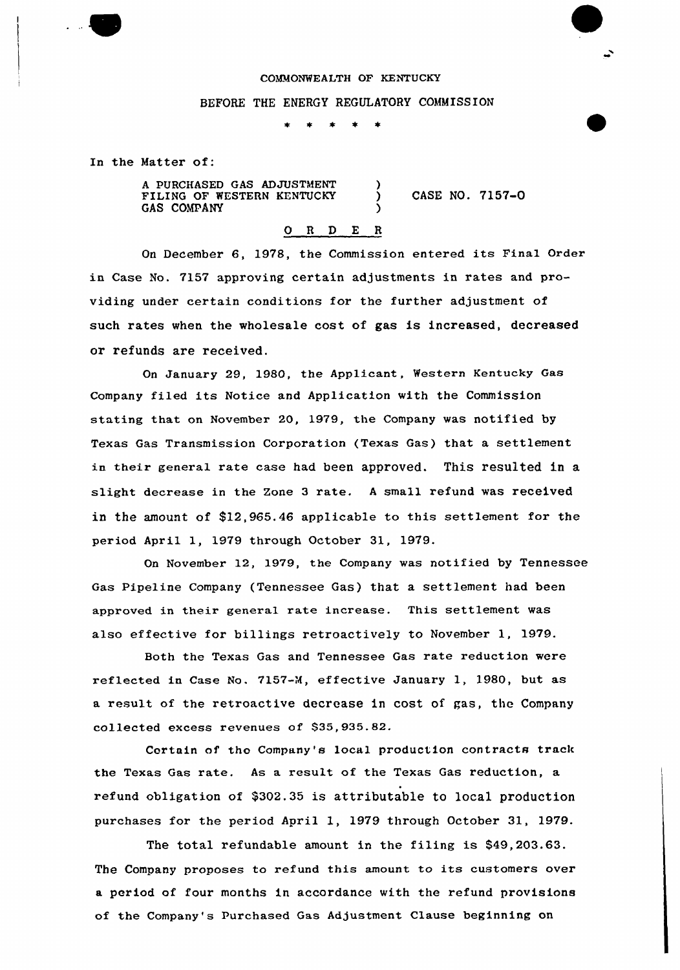## COMMONWEALTH OF KENTUCKY

## BEFORE THE ENERGY REGULATORY COMMISSION

)

)

 $\bullet$  $\pm$   $\pm$ 

In the Matter of:

A PURCHASED GAS ADJUSTMENT FILING OF WESTERN KENTUCKY GAS COMPANY

) CASE NO. 7157-0

## 0 <sup>R</sup> <sup>D</sup> E <sup>R</sup>

On December 6, 1978, the Commission entered its Final Order in Case No. 7157 approving certain adjustments in rates and providing under certain conditions for the further adjustment of such rates when the wholesale cost of gas is increased, decreased or refunds are received.

On January 29, 1980, the Applicant, Western Kentucky Gas Company filed its Notice and Application with the Commission stating that on November 20, 1979, the Company was notified by Texas Gas Transmission Corporation (Texas Gas) that a settlement in their general rate case had been approved. This resulted in a slight decrease in the Zone 3 rate. A small refund was received in the amount of \$12,965.46 applicable to this settlement for the period April 1, 1979 through October 31, 1979.

On November 12, 1979, the Company was notified by Tennessee Gas Pipeline Company (Tennessee Gas) that a settlement had been approved in their general rate increase. This settlement was also effective for billings retroactively to November 1, 1979.

Both the Texas Gas and Tennessee Gas rate reduction were reflected in Case No. 7157-M, effective January 1, 1980, but as a result of the retroactive decrease in cost of gas, the Company collected excess revenues of \$35,935.82.

Certain of tho Company's local production contracts track the Texas Gas rate. As a result of the Texas Gas reduction, a refund obligation of \$302.35 is attributable to local production purchases for the period April 1, 1979 through October 31, 1979.

The total refundable amount in the filing is 549,203.63. The Company proposes to refund this amount to its customers over a period of four months in accordance with the refund provisions of the Company's Purchased Gas Adjustment Clause beginning on